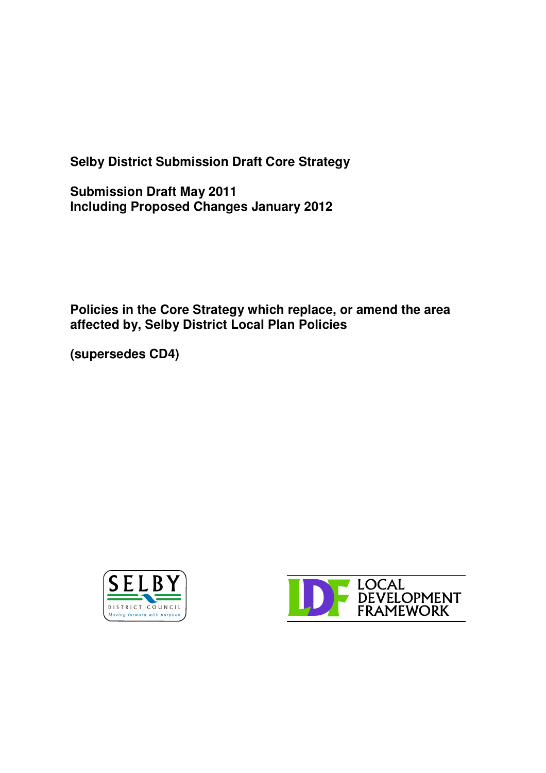**Selby District Submission Draft Core Strategy**

**Submission Draft May 2011 Including Proposed Changes January 2012**

**Policies in the Core Strategy which replace, or amend the area affected by, Selby District Local Plan Policies**

**(supersedes CD4)**



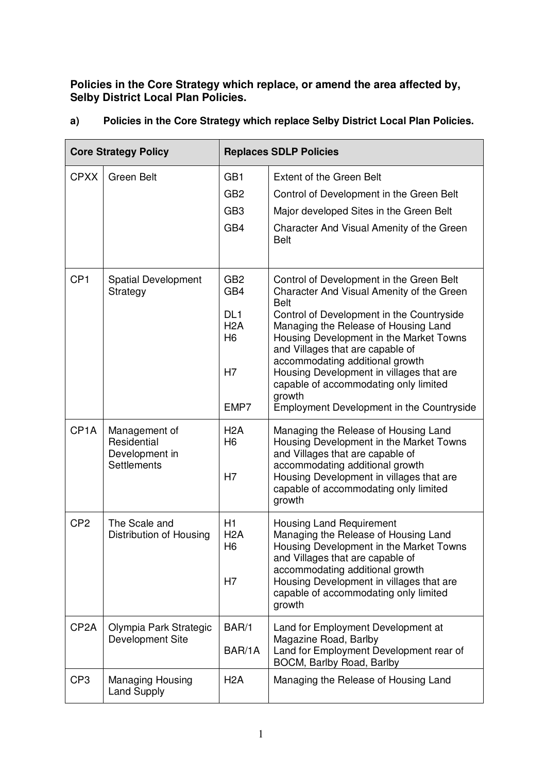**Policies in the Core Strategy which replace, or amend the area affected by, Selby District Local Plan Policies.**

| <b>Core Strategy Policy</b> |                                                                      | <b>Replaces SDLP Policies</b>                                                    |                                                                                                                                                                                                                                                                                                                                                                                                                                                         |
|-----------------------------|----------------------------------------------------------------------|----------------------------------------------------------------------------------|---------------------------------------------------------------------------------------------------------------------------------------------------------------------------------------------------------------------------------------------------------------------------------------------------------------------------------------------------------------------------------------------------------------------------------------------------------|
| <b>CPXX</b>                 | <b>Green Belt</b>                                                    | GB <sub>1</sub><br>GB <sub>2</sub><br>GB <sub>3</sub><br>GB4                     | <b>Extent of the Green Belt</b><br>Control of Development in the Green Belt<br>Major developed Sites in the Green Belt<br>Character And Visual Amenity of the Green<br><b>Belt</b>                                                                                                                                                                                                                                                                      |
| CP <sub>1</sub>             | <b>Spatial Development</b><br>Strategy                               | GB <sub>2</sub><br>GB4<br>DL <sub>1</sub><br>H2A<br>H <sub>6</sub><br>H7<br>EMP7 | Control of Development in the Green Belt<br>Character And Visual Amenity of the Green<br><b>Belt</b><br>Control of Development in the Countryside<br>Managing the Release of Housing Land<br>Housing Development in the Market Towns<br>and Villages that are capable of<br>accommodating additional growth<br>Housing Development in villages that are<br>capable of accommodating only limited<br>growth<br>Employment Development in the Countryside |
| CP <sub>1</sub> A           | Management of<br>Residential<br>Development in<br><b>Settlements</b> | H2A<br>H <sub>6</sub><br>H7                                                      | Managing the Release of Housing Land<br>Housing Development in the Market Towns<br>and Villages that are capable of<br>accommodating additional growth<br>Housing Development in villages that are<br>capable of accommodating only limited<br>growth                                                                                                                                                                                                   |
| CP <sub>2</sub>             | The Scale and<br>Distribution of Housing                             | H1<br>H <sub>2</sub> A<br>H <sub>6</sub><br>H7                                   | <b>Housing Land Requirement</b><br>Managing the Release of Housing Land<br>Housing Development in the Market Towns<br>and Villages that are capable of<br>accommodating additional growth<br>Housing Development in villages that are<br>capable of accommodating only limited<br>growth                                                                                                                                                                |
| CP <sub>2</sub> A           | Olympia Park Strategic<br>Development Site                           | BAR/1<br>BAR/1A                                                                  | Land for Employment Development at<br>Magazine Road, Barlby<br>Land for Employment Development rear of<br>BOCM, Barlby Road, Barlby                                                                                                                                                                                                                                                                                                                     |
| CP <sub>3</sub>             | <b>Managing Housing</b><br><b>Land Supply</b>                        | H <sub>2</sub> A                                                                 | Managing the Release of Housing Land                                                                                                                                                                                                                                                                                                                                                                                                                    |

## **a) Policies in the Core Strategy which replace Selby District Local Plan Policies.**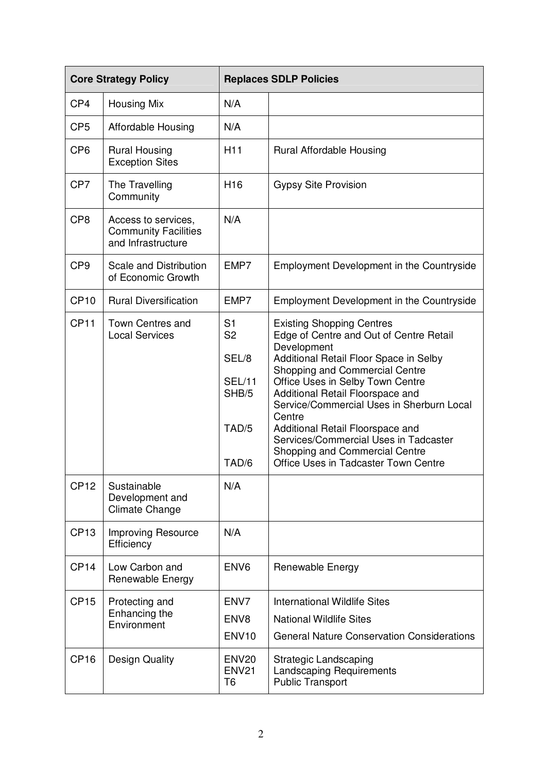| <b>Core Strategy Policy</b> |                                                                                                             | <b>Replaces SDLP Policies</b>                                                                |                                                                                                                                                                                                                                                                                                                                                                                                                                                              |
|-----------------------------|-------------------------------------------------------------------------------------------------------------|----------------------------------------------------------------------------------------------|--------------------------------------------------------------------------------------------------------------------------------------------------------------------------------------------------------------------------------------------------------------------------------------------------------------------------------------------------------------------------------------------------------------------------------------------------------------|
| CP4                         | <b>Housing Mix</b>                                                                                          | N/A                                                                                          |                                                                                                                                                                                                                                                                                                                                                                                                                                                              |
| CP <sub>5</sub>             | <b>Affordable Housing</b>                                                                                   | N/A                                                                                          |                                                                                                                                                                                                                                                                                                                                                                                                                                                              |
| CP <sub>6</sub>             | <b>Rural Housing</b><br><b>Exception Sites</b>                                                              | H <sub>11</sub>                                                                              | Rural Affordable Housing                                                                                                                                                                                                                                                                                                                                                                                                                                     |
| CP7                         | The Travelling<br>Community                                                                                 | H <sub>16</sub>                                                                              | <b>Gypsy Site Provision</b>                                                                                                                                                                                                                                                                                                                                                                                                                                  |
| CP <sub>8</sub>             | Access to services,<br><b>Community Facilities</b><br>and Infrastructure                                    | N/A                                                                                          |                                                                                                                                                                                                                                                                                                                                                                                                                                                              |
| CP <sub>9</sub>             | Scale and Distribution<br>of Economic Growth                                                                | EMP7                                                                                         | Employment Development in the Countryside                                                                                                                                                                                                                                                                                                                                                                                                                    |
| CP <sub>10</sub>            | <b>Rural Diversification</b>                                                                                | EMP7                                                                                         | Employment Development in the Countryside                                                                                                                                                                                                                                                                                                                                                                                                                    |
| <b>CP11</b><br><b>CP12</b>  | <b>Town Centres and</b><br><b>Local Services</b><br>Sustainable<br>Development and<br><b>Climate Change</b> | S <sub>1</sub><br>S <sub>2</sub><br>SEL/8<br><b>SEL/11</b><br>SHB/5<br>TAD/5<br>TAD/6<br>N/A | <b>Existing Shopping Centres</b><br>Edge of Centre and Out of Centre Retail<br>Development<br>Additional Retail Floor Space in Selby<br>Shopping and Commercial Centre<br>Office Uses in Selby Town Centre<br>Additional Retail Floorspace and<br>Service/Commercial Uses in Sherburn Local<br>Centre<br>Additional Retail Floorspace and<br>Services/Commercial Uses in Tadcaster<br>Shopping and Commercial Centre<br>Office Uses in Tadcaster Town Centre |
| <b>CP13</b>                 | Improving Resource<br>Efficiency                                                                            | N/A                                                                                          |                                                                                                                                                                                                                                                                                                                                                                                                                                                              |
| CP <sub>14</sub>            | Low Carbon and<br>Renewable Energy                                                                          | ENV <sub>6</sub>                                                                             | Renewable Energy                                                                                                                                                                                                                                                                                                                                                                                                                                             |
| <b>CP15</b>                 | Protecting and<br>Enhancing the<br>Environment                                                              | ENV7<br>ENV <sub>8</sub><br><b>ENV10</b>                                                     | International Wildlife Sites<br><b>National Wildlife Sites</b><br><b>General Nature Conservation Considerations</b>                                                                                                                                                                                                                                                                                                                                          |
| <b>CP16</b>                 | <b>Design Quality</b>                                                                                       | ENV <sub>20</sub><br><b>ENV21</b><br>T6                                                      | <b>Strategic Landscaping</b><br><b>Landscaping Requirements</b><br><b>Public Transport</b>                                                                                                                                                                                                                                                                                                                                                                   |